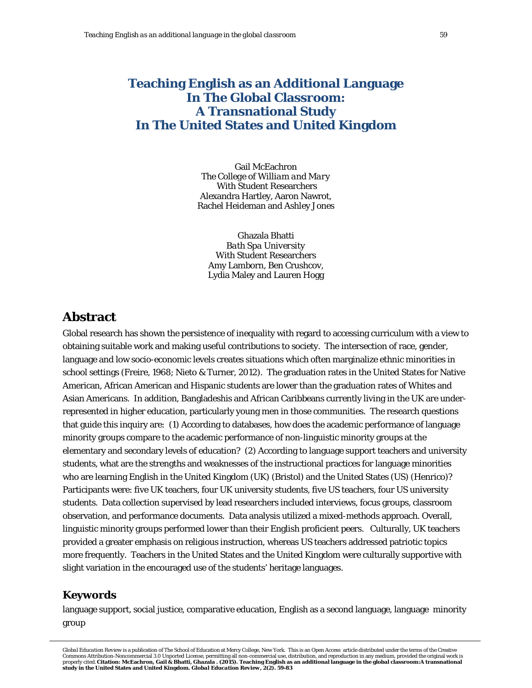# **Teaching English as an Additional Language In The Global Classroom: A Transnational Study In The United States and United Kingdom**

Gail McEachron *The College of William and Mary* With Student Researchers Alexandra Hartley, Aaron Nawrot, Rachel Heideman and Ashley Jones

Ghazala Bhatti *Bath Spa University* With Student Researchers Amy Lamborn, Ben Crushcov, Lydia Maley and Lauren Hogg

# **Abstract**

Global research has shown the persistence of inequality with regard to accessing curriculum with a view to obtaining suitable work and making useful contributions to society. The intersection of race, gender, language and low socio-economic levels creates situations which often marginalize ethnic minorities in school settings (Freire, 1968; Nieto & Turner, 2012). The graduation rates in the United States for Native American, African American and Hispanic students are lower than the graduation rates of Whites and Asian Americans. In addition, Bangladeshis and African Caribbeans currently living in the UK are underrepresented in higher education, particularly young men in those communities. The research questions that guide this inquiry are: (1) According to databases, how does the academic performance of language minority groups compare to the academic performance of non-linguistic minority groups at the elementary and secondary levels of education? (2) According to language support teachers and university students, what are the strengths and weaknesses of the instructional practices for language minorities who are learning English in the United Kingdom (UK) (Bristol) and the United States (US) (Henrico)? Participants were: five UK teachers, four UK university students, five US teachers, four US university students. Data collection supervised by lead researchers included interviews, focus groups, classroom observation, and performance documents. Data analysis utilized a mixed-methods approach. Overall, linguistic minority groups performed lower than their English proficient peers. Culturally, UK teachers provided a greater emphasis on religious instruction, whereas US teachers addressed patriotic topics more frequently. Teachers in the United States and the United Kingdom were culturally supportive with slight variation in the encouraged use of the students' heritage languages.

# **Keywords**

language support, social justice, comparative education, English as a second language, language minority group

*Global Education Review* is a publication of The School of Education at Mercy College, New York. This is an Open Access article distributed under the terms of the Creative Commons Attribution-Noncommercial 3.0 Unported License, permitting all non-commercial use, distribution, and reproduction in any medium, provided the original work is properly cited. Citation: McEachron, Gail & Bhatti, Ghazala . (2015). Teaching English as an additional language in the global classroom:A transnational<br>study in the United States and United Kingdom. *Global Education Revi*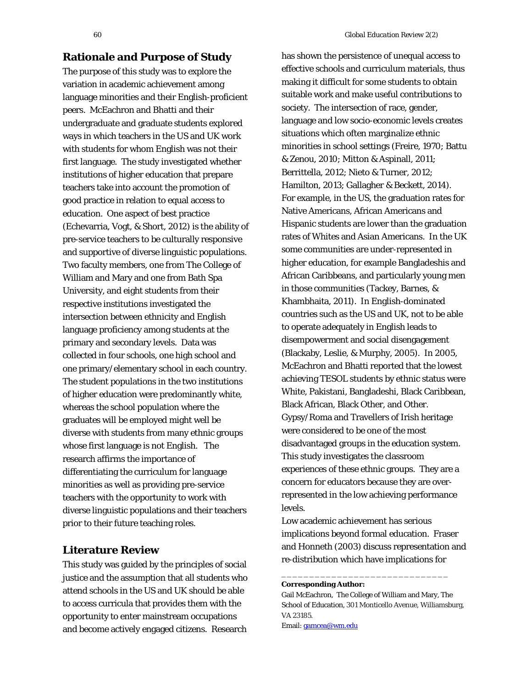# **Rationale and Purpose of Study**

The purpose of this study was to explore the variation in academic achievement among language minorities and their English-proficient peers. McEachron and Bhatti and their undergraduate and graduate students explored ways in which teachers in the US and UK work with students for whom English was not their first language. The study investigated whether institutions of higher education that prepare teachers take into account the promotion of good practice in relation to equal access to education. One aspect of best practice (Echevarria, Vogt, & Short, 2012) is the ability of pre-service teachers to be culturally responsive and supportive of diverse linguistic populations. Two faculty members, one from The College of William and Mary and one from Bath Spa University, and eight students from their respective institutions investigated the intersection between ethnicity and English language proficiency among students at the primary and secondary levels. Data was collected in four schools, one high school and one primary/elementary school in each country. The student populations in the two institutions of higher education were predominantly white, whereas the school population where the graduates will be employed might well be diverse with students from many ethnic groups whose first language is not English. The research affirms the importance of differentiating the curriculum for language minorities as well as providing pre-service teachers with the opportunity to work with diverse linguistic populations and their teachers prior to their future teaching roles.

# **Literature Review**

This study was guided by the principles of social justice and the assumption that all students who attend schools in the US and UK should be able to access curricula that provides them with the opportunity to enter mainstream occupations and become actively engaged citizens. Research

has shown the persistence of unequal access to effective schools and curriculum materials, thus making it difficult for some students to obtain suitable work and make useful contributions to society. The intersection of race, gender, language and low socio-economic levels creates situations which often marginalize ethnic minorities in school settings (Freire, 1970; Battu & Zenou, 2010; Mitton & Aspinall, 2011; Berrittella, 2012; Nieto & Turner, 2012; Hamilton, 2013; Gallagher & Beckett, 2014). For example, in the US, the graduation rates for Native Americans, African Americans and Hispanic students are lower than the graduation rates of Whites and Asian Americans. In the UK some communities are under-represented in higher education, for example Bangladeshis and African Caribbeans, and particularly young men in those communities (Tackey, Barnes, & Khambhaita, 2011). In English-dominated countries such as the US and UK, not to be able to operate adequately in English leads to disempowerment and social disengagement (Blackaby, Leslie, & Murphy, 2005). In 2005, McEachron and Bhatti reported that the lowest achieving TESOL students by ethnic status were White, Pakistani, Bangladeshi, Black Caribbean, Black African, Black Other, and Other. Gypsy/Roma and Travellers of Irish heritage were considered to be one of the most disadvantaged groups in the education system. This study investigates the classroom experiences of these ethnic groups. They are a concern for educators because they are overrepresented in the low achieving performance levels.

Low academic achievement has serious implications beyond formal education. Fraser and Honneth (2003) discuss representation and re-distribution which have implications for

Gail McEachron, The College of William and Mary, The School of Education, 301 Monticello Avenue, Williamsburg, VA 23185. Email[: gamcea@wm.edu](mailto:gamcea@wm.edu)

\_\_\_\_\_\_\_\_\_\_\_\_\_\_\_\_\_\_\_\_\_\_\_\_\_\_\_\_\_\_

**Corresponding Author:**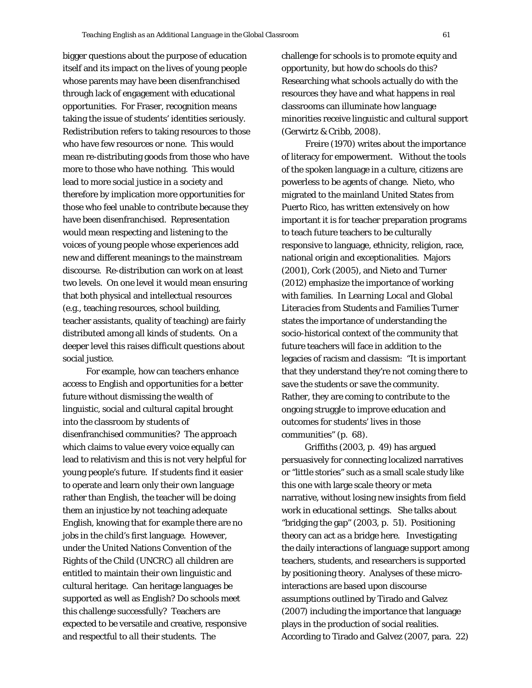bigger questions about the purpose of education itself and its impact on the lives of young people whose parents may have been disenfranchised through lack of engagement with educational opportunities. For Fraser, recognition means taking the issue of students' identities seriously. Redistribution refers to taking resources to those who have few resources or none. This would mean re-distributing goods from those who have more to those who have nothing. This would lead to more social justice in a society and therefore by implication more opportunities for those who feel unable to contribute because they have been disenfranchised. Representation would mean respecting and listening to the voices of young people whose experiences add new and different meanings to the mainstream discourse. Re-distribution can work on at least two levels. On one level it would mean ensuring that both physical and intellectual resources (e.g., teaching resources, school building, teacher assistants, quality of teaching) are fairly distributed among all kinds of students. On a deeper level this raises difficult questions about social justice.

For example, how can teachers enhance access to English and opportunities for a better future without dismissing the wealth of linguistic, social and cultural capital brought into the classroom by students of disenfranchised communities? The approach which claims to value every voice equally can lead to relativism and this is not very helpful for young people's future. If students find it easier to operate and learn only their own language rather than English, the teacher will be doing them an injustice by not teaching adequate English, knowing that for example there are no jobs in the child's first language. However, under the United Nations Convention of the Rights of the Child (UNCRC) all children are entitled to maintain their own linguistic and cultural heritage. Can heritage languages be supported as well as English? Do schools meet this challenge successfully? Teachers are expected to be versatile and creative, responsive and respectful to *all* their students. The

challenge for schools is to promote equity and opportunity, but how do schools do this? Researching what schools actually do with the resources they have and what happens in real classrooms can illuminate how language minorities receive linguistic and cultural support (Gerwirtz & Cribb, 2008).

Freire (1970) writes about the importance of literacy for empowerment. Without the tools of the spoken language in a culture, citizens are powerless to be agents of change. Nieto, who migrated to the mainland United States from Puerto Rico, has written extensively on how important it is for teacher preparation programs to teach future teachers to be culturally responsive to language, ethnicity, religion, race, national origin and exceptionalities. Majors (2001), Cork (2005), and Nieto and Turner (2012) emphasize the importance of working with families. In *Learning Local and Global Literacies from Students and Families* Turner states the importance of understanding the socio-historical context of the community that future teachers will face in addition to the legacies of racism and classism: "It is important that they understand they're not coming there to save the students or save the community. Rather, they are coming to contribute to the ongoing struggle to improve education and outcomes for students' lives in those communities" (p. 68).

Griffiths (2003, p. 49) has argued persuasively for connecting localized narratives or "little stories" such as a small scale study like this one with large scale theory or meta narrative, without losing new insights from field work in educational settings. She talks about "bridging the gap" (2003, p. 51). Positioning theory can act as a bridge here. Investigating the daily interactions of language support among teachers, students, and researchers is supported by positioning theory. Analyses of these microinteractions are based upon discourse assumptions outlined by Tirado and Galvez (2007) including the importance that language plays in the production of social realities. According to Tirado and Galvez (2007, para. 22)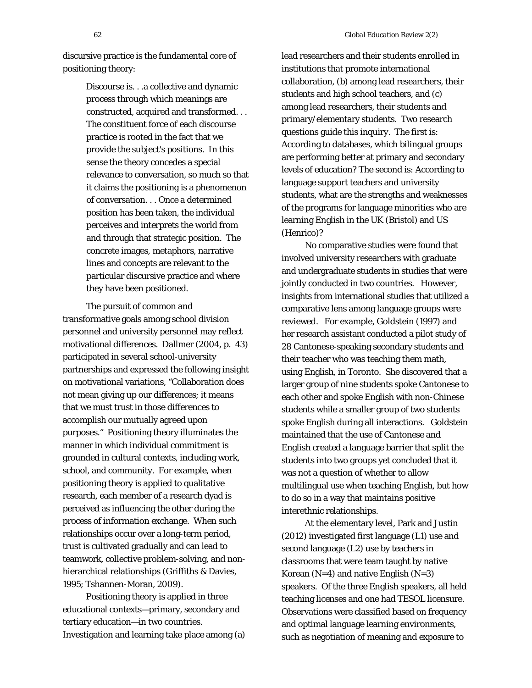discursive practice is the fundamental core of positioning theory:

> Discourse is. . .a collective and dynamic process through which meanings are constructed, acquired and transformed. . . The constituent force of each discourse practice is rooted in the fact that we provide the subject's positions. In this sense the theory concedes a special relevance to conversation, so much so that it claims the positioning is a phenomenon of conversation. . . Once a determined position has been taken, the individual perceives and interprets the world from and through that strategic position. The concrete images, metaphors, narrative lines and concepts are relevant to the particular discursive practice and where they have been positioned.

The pursuit of common and transformative goals among school division personnel and university personnel may reflect motivational differences. Dallmer (2004, p. 43) participated in several school-university partnerships and expressed the following insight on motivational variations, "Collaboration does not mean giving up our differences; it means that we must trust in those differences to accomplish our mutually agreed upon purposes." Positioning theory illuminates the manner in which individual commitment is grounded in cultural contexts, including work, school, and community. For example, when positioning theory is applied to qualitative research, each member of a research dyad is perceived as influencing the other during the process of information exchange. When such relationships occur over a long-term period, trust is cultivated gradually and can lead to teamwork, collective problem-solving, and nonhierarchical relationships (Griffiths & Davies, 1995; Tshannen-Moran, 2009).

Positioning theory is applied in three educational contexts—primary, secondary and tertiary education—in two countries. Investigation and learning take place among (a)

lead researchers and their students enrolled in institutions that promote international collaboration, (b) among lead researchers, their students and high school teachers, and (c) among lead researchers, their students and primary/elementary students. Two research questions guide this inquiry. The first is: According to databases, which bilingual groups are performing better at primary and secondary levels of education? The second is: According to language support teachers and university students, what are the strengths and weaknesses of the programs for language minorities who are learning English in the UK (Bristol) and US (Henrico)?

No comparative studies were found that involved university researchers with graduate and undergraduate students in studies that were jointly conducted in two countries. However, insights from international studies that utilized a comparative lens among language groups were reviewed. For example, Goldstein (1997) and her research assistant conducted a pilot study of 28 Cantonese-speaking secondary students and their teacher who was teaching them math, using English, in Toronto. She discovered that a larger group of nine students spoke Cantonese to each other and spoke English with non-Chinese students while a smaller group of two students spoke English during all interactions. Goldstein maintained that the use of Cantonese and English created a language barrier that split the students into two groups yet concluded that it was not a question of whether to allow multilingual use when teaching English, but how to do so in a way that maintains positive interethnic relationships.

At the elementary level, Park and Justin (2012) investigated first language (L1) use and second language (L2) use by teachers in classrooms that were team taught by native Korean  $(N=4)$  and native English  $(N=3)$ speakers. Of the three English speakers, all held teaching licenses and one had TESOL licensure. Observations were classified based on frequency and optimal language learning environments, such as negotiation of meaning and exposure to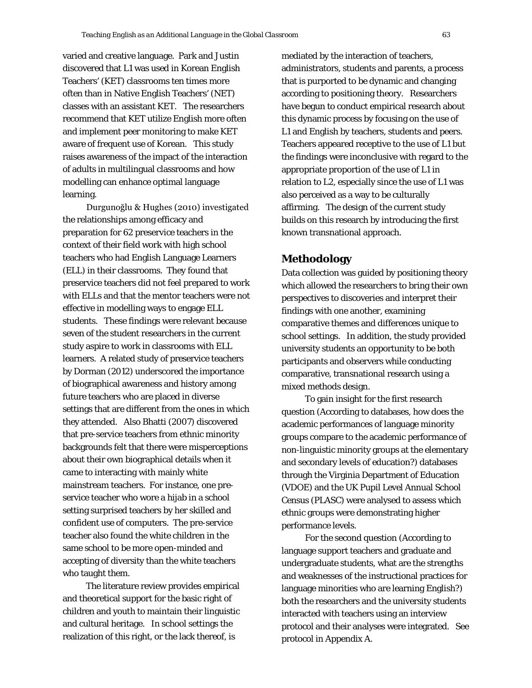varied and creative language. Park and Justin discovered that L1 was used in Korean English Teachers' (KET) classrooms ten times more often than in Native English Teachers' (NET) classes with an assistant KET. The researchers recommend that KET utilize English more often and implement peer monitoring to make KET aware of frequent use of Korean. This study raises awareness of the impact of the interaction of adults in multilingual classrooms and how modelling can enhance optimal language learning.

Durgunoğlu & Hughes (2010) investigated the relationships among efficacy and preparation for 62 preservice teachers in the context of their field work with high school teachers who had English Language Learners (ELL) in their classrooms. They found that preservice teachers did not feel prepared to work with ELLs and that the mentor teachers were not effective in modelling ways to engage ELL students. These findings were relevant because seven of the student researchers in the current study aspire to work in classrooms with ELL learners. A related study of preservice teachers by Dorman (2012) underscored the importance of biographical awareness and history among future teachers who are placed in diverse settings that are different from the ones in which they attended. Also Bhatti (2007) discovered that pre-service teachers from ethnic minority backgrounds felt that there were misperceptions about their own biographical details when it came to interacting with mainly white mainstream teachers. For instance, one preservice teacher who wore a hijab in a school setting surprised teachers by her skilled and confident use of computers. The pre-service teacher also found the white children in the same school to be more open-minded and accepting of diversity than the white teachers who taught them.

The literature review provides empirical and theoretical support for the basic right of children and youth to maintain their linguistic and cultural heritage. In school settings the realization of this right, or the lack thereof, is

mediated by the interaction of teachers, administrators, students and parents, a process that is purported to be dynamic and changing according to positioning theory. Researchers have begun to conduct empirical research about this dynamic process by focusing on the use of L1 and English by teachers, students and peers. Teachers appeared receptive to the use of L1 but the findings were inconclusive with regard to the appropriate proportion of the use of L1 in relation to L2, especially since the use of L1 was also perceived as a way to be culturally affirming. The design of the current study builds on this research by introducing the first known transnational approach.

# **Methodology**

Data collection was guided by positioning theory which allowed the researchers to bring their own perspectives to discoveries and interpret their findings with one another, examining comparative themes and differences unique to school settings. In addition, the study provided university students an opportunity to be both participants and observers while conducting comparative, transnational research using a mixed methods design.

To gain insight for the first research question (According to databases, how does the academic performances of language minority groups compare to the academic performance of non-linguistic minority groups at the elementary and secondary levels of education?) databases through the Virginia Department of Education (VDOE) and the UK Pupil Level Annual School Census (PLASC) were analysed to assess which ethnic groups were demonstrating higher performance levels.

For the second question (According to language support teachers and graduate and undergraduate students, what are the strengths and weaknesses of the instructional practices for language minorities who are learning English?) both the researchers and the university students interacted with teachers using an interview protocol and their analyses were integrated. See protocol in Appendix A.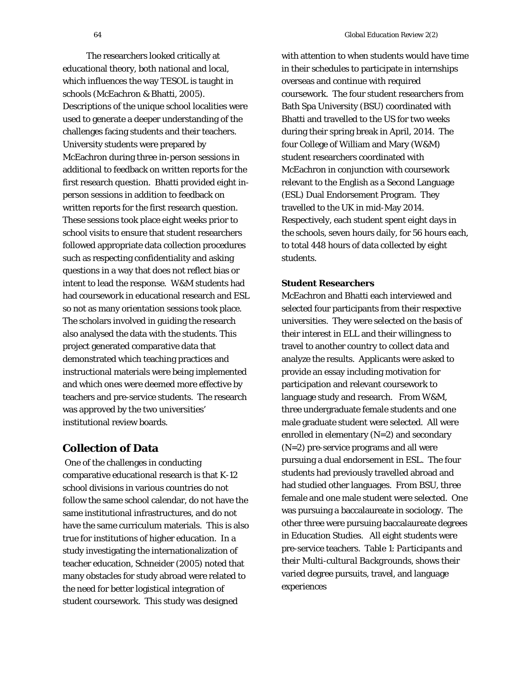The researchers looked critically at educational theory, both national and local, which influences the way TESOL is taught in schools (McEachron & Bhatti, 2005). Descriptions of the unique school localities were used to generate a deeper understanding of the challenges facing students and their teachers. University students were prepared by McEachron during three in-person sessions in additional to feedback on written reports for the first research question. Bhatti provided eight inperson sessions in addition to feedback on written reports for the first research question. These sessions took place eight weeks prior to school visits to ensure that student researchers followed appropriate data collection procedures such as respecting confidentiality and asking questions in a way that does not reflect bias or intent to lead the response. W&M students had had coursework in educational research and ESL so not as many orientation sessions took place. The scholars involved in guiding the research also analysed the data with the students. This project generated comparative data that demonstrated which teaching practices and instructional materials were being implemented and which ones were deemed more effective by teachers and pre-service students. The research was approved by the two universities' institutional review boards.

# **Collection of Data**

One of the challenges in conducting comparative educational research is that K-12 school divisions in various countries do not follow the same school calendar, do not have the same institutional infrastructures, and do not have the same curriculum materials. This is also true for institutions of higher education. In a study investigating the internationalization of teacher education, Schneider (2005) noted that many obstacles for study abroad were related to the need for better logistical integration of student coursework. This study was designed

with attention to when students would have time in their schedules to participate in internships overseas and continue with required coursework. The four student researchers from Bath Spa University (BSU) coordinated with Bhatti and travelled to the US for two weeks during their spring break in April, 2014. The four College of William and Mary (W&M) student researchers coordinated with McEachron in conjunction with coursework relevant to the English as a Second Language (ESL) Dual Endorsement Program. They travelled to the UK in mid-May 2014. Respectively, each student spent eight days in the schools, seven hours daily, for 56 hours each, to total 448 hours of data collected by eight students.

# **Student Researchers**

McEachron and Bhatti each interviewed and selected four participants from their respective universities. They were selected on the basis of their interest in ELL and their willingness to travel to another country to collect data and analyze the results. Applicants were asked to provide an essay including motivation for participation and relevant coursework to language study and research. From W&M, three undergraduate female students and one male graduate student were selected. All were enrolled in elementary (N=2) and secondary (N=2) pre-service programs and all were pursuing a dual endorsement in ESL. The four students had previously travelled abroad and had studied other languages. From BSU, three female and one male student were selected. One was pursuing a baccalaureate in sociology. The other three were pursuing baccalaureate degrees in Education Studies. All eight students were pre-service teachers. Table 1: *Participants and their Multi-cultural Backgrounds*, shows their varied degree pursuits, travel, and language experiences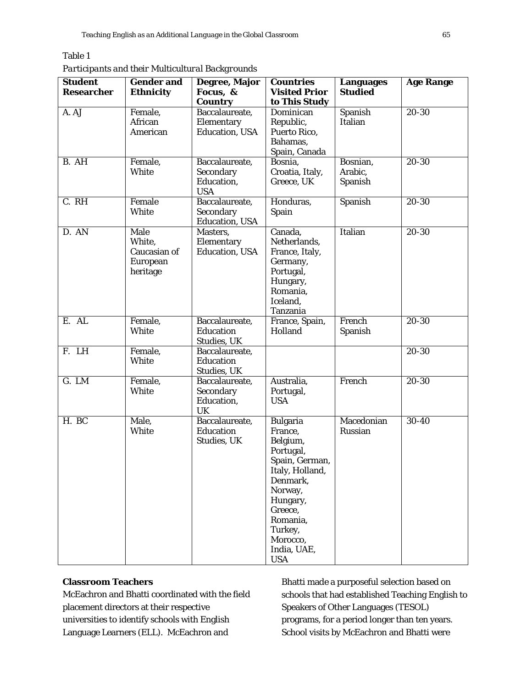# Table 1

*Participants and their Multicultural Backgrounds*

| <b>Student</b>    | <b>Gender and</b>                                             | Degree, Major                                           | <b>Countries</b>                                                                                                                                                                                       | <b>Languages</b>               | <b>Age Range</b> |
|-------------------|---------------------------------------------------------------|---------------------------------------------------------|--------------------------------------------------------------------------------------------------------------------------------------------------------------------------------------------------------|--------------------------------|------------------|
| <b>Researcher</b> | <b>Ethnicity</b>                                              | Focus, &                                                | <b>Visited Prior</b>                                                                                                                                                                                   | <b>Studied</b>                 |                  |
|                   |                                                               | <b>Country</b>                                          | to This Study                                                                                                                                                                                          |                                |                  |
| A. AJ             | Female,<br>African<br>American                                | Baccalaureate,<br>Elementary<br>Education, USA          | Dominican<br>Republic,<br>Puerto Rico,<br>Bahamas,<br>Spain, Canada                                                                                                                                    | Spanish<br>Italian             | $20 - 30$        |
| B. AH             | Female,<br>White                                              | Baccalaureate,<br>Secondary<br>Education,<br><b>USA</b> | Bosnia,<br>Croatia, Italy,<br>Greece, UK                                                                                                                                                               | Bosnian,<br>Arabic,<br>Spanish | 20-30            |
| C. RH             | Female<br>White                                               | Baccalaureate,<br>Secondary<br><b>Education</b> , USA   | Honduras,<br><b>Spain</b>                                                                                                                                                                              | Spanish                        | 20-30            |
| D. AN             | <b>Male</b><br>White,<br>Caucasian of<br>European<br>heritage | Masters,<br>Elementary<br><b>Education</b> , USA        | Canada,<br>Netherlands,<br>France, Italy,<br>Germany,<br>Portugal,<br>Hungary,<br>Romania,<br>Iceland,<br>Tanzania                                                                                     | Italian                        | $20 - 30$        |
| E. AL             | Female,<br>White                                              | Baccalaureate,<br>Education<br><b>Studies, UK</b>       | France, Spain,<br>Holland                                                                                                                                                                              | French<br>Spanish              | $20 - 30$        |
| F. LH             | Female,<br><b>White</b>                                       | Baccalaureate,<br>Education<br><b>Studies, UK</b>       |                                                                                                                                                                                                        |                                | $20 - 30$        |
| G. LM             | Female,<br>White                                              | Baccalaureate,<br>Secondary<br>Education,<br>UK         | Australia,<br>Portugal,<br><b>USA</b>                                                                                                                                                                  | French                         | 20-30            |
| H. BC             | Male,<br>White                                                | Baccalaureate,<br>Education<br><b>Studies, UK</b>       | <b>Bulgaria</b><br>France,<br>Belgium,<br>Portugal,<br>Spain, German,<br>Italy, Holland,<br>Denmark,<br>Norway,<br>Hungary,<br>Greece,<br>Romania,<br>Turkey,<br>Morocco,<br>India, UAE,<br><b>USA</b> | Macedonian<br>Russian          | 30-40            |

# **Classroom Teachers**

McEachron and Bhatti coordinated with the field placement directors at their respective universities to identify schools with English Language Learners (ELL). McEachron and

Bhatti made a purposeful selection based on schools that had established Teaching English to Speakers of Other Languages (TESOL) programs, for a period longer than ten years. School visits by McEachron and Bhatti were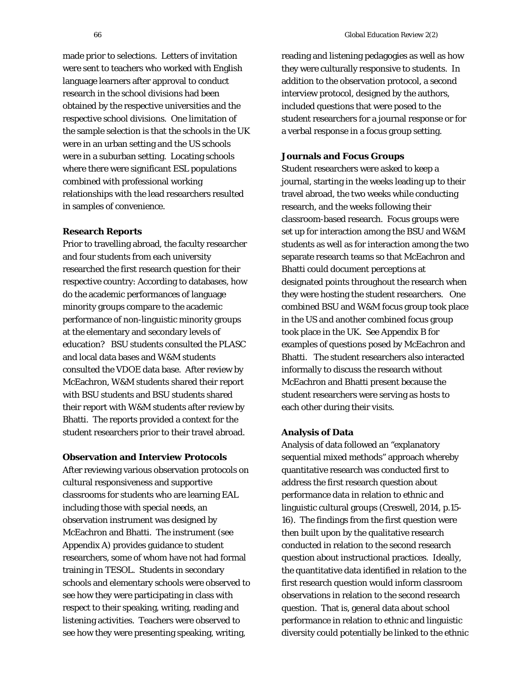made prior to selections. Letters of invitation were sent to teachers who worked with English language learners after approval to conduct research in the school divisions had been obtained by the respective universities and the respective school divisions. One limitation of the sample selection is that the schools in the UK were in an urban setting and the US schools were in a suburban setting. Locating schools where there were significant ESL populations combined with professional working relationships with the lead researchers resulted in samples of convenience.

### **Research Reports**

Prior to travelling abroad, the faculty researcher and four students from each university researched the first research question for their respective country: According to databases, how do the academic performances of language minority groups compare to the academic performance of non-linguistic minority groups at the elementary and secondary levels of education? BSU students consulted the PLASC and local data bases and W&M students consulted the VDOE data base. After review by McEachron, W&M students shared their report with BSU students and BSU students shared their report with W&M students after review by Bhatti. The reports provided a context for the student researchers prior to their travel abroad.

# **Observation and Interview Protocols**

After reviewing various observation protocols on cultural responsiveness and supportive classrooms for students who are learning EAL including those with special needs, an observation instrument was designed by McEachron and Bhatti. The instrument (see Appendix A) provides guidance to student researchers, some of whom have not had formal training in TESOL. Students in secondary schools and elementary schools were observed to see how they were participating in class with respect to their speaking, writing, reading and listening activities. Teachers were observed to see how they were presenting speaking, writing,

reading and listening pedagogies as well as how they were culturally responsive to students. In addition to the observation protocol, a second interview protocol, designed by the authors, included questions that were posed to the student researchers for a journal response or for a verbal response in a focus group setting.

### **Journals and Focus Groups**

Student researchers were asked to keep a journal, starting in the weeks leading up to their travel abroad, the two weeks while conducting research, and the weeks following their classroom-based research. Focus groups were set up for interaction among the BSU and W&M students as well as for interaction among the two separate research teams so that McEachron and Bhatti could document perceptions at designated points throughout the research when they were hosting the student researchers. One combined BSU and W&M focus group took place in the US and another combined focus group took place in the UK. See Appendix B for examples of questions posed by McEachron and Bhatti. The student researchers also interacted informally to discuss the research without McEachron and Bhatti present because the student researchers were serving as hosts to each other during their visits.

### **Analysis of Data**

Analysis of data followed an "explanatory sequential mixed methods" approach whereby quantitative research was conducted first to address the first research question about performance data in relation to ethnic and linguistic cultural groups (Creswell, 2014, p.15- 16). The findings from the first question were then built upon by the qualitative research conducted in relation to the second research question about instructional practices. Ideally, the quantitative data identified in relation to the first research question would inform classroom observations in relation to the second research question. That is, general data about school performance in relation to ethnic and linguistic diversity could potentially be linked to the ethnic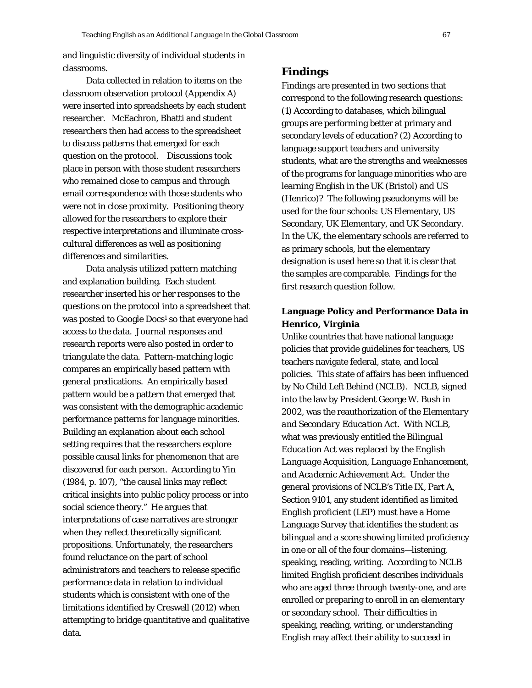and linguistic diversity of individual students in classrooms.

Data collected in relation to items on the classroom observation protocol (Appendix A) were inserted into spreadsheets by each student researcher. McEachron, Bhatti and student researchers then had access to the spreadsheet to discuss patterns that emerged for each question on the protocol. Discussions took place in person with those student researchers who remained close to campus and through email correspondence with those students who were not in close proximity. Positioning theory allowed for the researchers to explore their respective interpretations and illuminate crosscultural differences as well as positioning differences and similarities.

Data analysis utilized pattern matching and explanation building. Each student researcher inserted his or her responses to the questions on the protocol into a spreadsheet that was posted to Google Docs<sup>1</sup> so that everyone had access to the data. Journal responses and research reports were also posted in order to triangulate the data. Pattern-matching logic compares an empirically based pattern with general predications. An empirically based pattern would be a pattern that emerged that was consistent with the demographic academic performance patterns for language minorities. Building an explanation about each school setting requires that the researchers explore possible causal links for phenomenon that are discovered for each person. According to Yin (1984, p. 107), "the causal links may reflect critical insights into public policy process or into social science theory." He argues that interpretations of case narratives are stronger when they reflect theoretically significant propositions. Unfortunately, the researchers found reluctance on the part of school administrators and teachers to release specific performance data in relation to individual students which is consistent with one of the limitations identified by Creswell (2012) when attempting to bridge quantitative and qualitative data.

# **Findings**

Findings are presented in two sections that correspond to the following research questions: (1) According to databases, which bilingual groups are performing better at primary and secondary levels of education? (2) According to language support teachers and university students, what are the strengths and weaknesses of the programs for language minorities who are learning English in the UK (Bristol) and US (Henrico)? The following pseudonyms will be used for the four schools: US Elementary, US Secondary, UK Elementary, and UK Secondary. In the UK, the elementary schools are referred to as primary schools, but the elementary designation is used here so that it is clear that the samples are comparable. Findings for the first research question follow.

# **Language Policy and Performance Data in Henrico, Virginia**

Unlike countries that have national language policies that provide guidelines for teachers, US teachers navigate federal, state, and local policies. This state of affairs has been influenced by *No Child Left Behind* (NCLB). NCLB, signed into the law by President George W. Bush in 2002, was the reauthorization of the *Elementary and Secondary Education Act*. With NCLB, what was previously entitled the *Bilingual Education Act* was replaced by the *English Language Acquisition, Language Enhancement, and Academic Achievement Act.* Under the general provisions of NCLB's Title IX, Part A, Section 9101, any student identified as *limited English proficient* (LEP) must have a Home Language Survey that identifies the student as bilingual and a score showing limited proficiency in one or all of the four domains—listening, speaking, reading, writing. According to NCLB *limited English proficient* describes individuals who are aged three through twenty-one, and are enrolled or preparing to enroll in an elementary or secondary school. Their difficulties in speaking, reading, writing, or understanding English may affect their ability to succeed in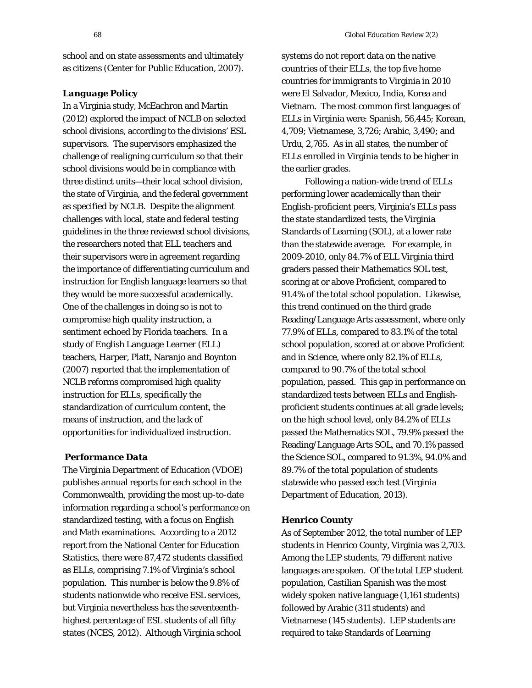school and on state assessments and ultimately as citizens (Center for Public Education, 2007).

# *Language Policy*

In a Virginia study, McEachron and Martin (2012) explored the impact of NCLB on selected school divisions, according to the divisions' ESL supervisors. The supervisors emphasized the challenge of realigning curriculum so that their school divisions would be in compliance with three distinct units—their local school division, the state of Virginia, and the federal government as specified by NCLB. Despite the alignment challenges with local, state and federal testing guidelines in the three reviewed school divisions, the researchers noted that ELL teachers and their supervisors were in agreement regarding the importance of differentiating curriculum and instruction for English language learners so that they would be more successful academically. One of the challenges in doing so is not to compromise high quality instruction, a sentiment echoed by Florida teachers. In a study of English Language Learner (ELL) teachers, Harper, Platt, Naranjo and Boynton (2007) reported that the implementation of NCLB reforms compromised high quality instruction for ELLs, specifically the standardization of curriculum content, the means of instruction, and the lack of opportunities for individualized instruction.

# *Performance Data*

The Virginia Department of Education (VDOE) publishes annual reports for each school in the Commonwealth, providing the most up-to-date information regarding a school's performance on standardized testing, with a focus on English and Math examinations. According to a 2012 report from the National Center for Education Statistics, there were 87,472 students classified as ELLs, comprising 7.1% of Virginia's school population. This number is below the 9.8% of students nationwide who receive ESL services, but Virginia nevertheless has the seventeenthhighest percentage of ESL students of all fifty states (NCES, 2012). Although Virginia school

systems do not report data on the native countries of their ELLs, the top five home countries for immigrants to Virginia in 2010 were El Salvador, Mexico, India, Korea and Vietnam. The most common first languages of ELLs in Virginia were: Spanish, 56,445; Korean, 4,709; Vietnamese, 3,726; Arabic, 3,490; and Urdu, 2,765. As in all states, the number of ELLs enrolled in Virginia tends to be higher in the earlier grades.

Following a nation-wide trend of ELLs performing lower academically than their English-proficient peers, Virginia's ELLs pass the state standardized tests, the Virginia Standards of Learning (SOL), at a lower rate than the statewide average. For example, in 2009-2010, only 84.7% of ELL Virginia third graders passed their Mathematics SOL test, scoring at or above Proficient, compared to 91.4% of the total school population. Likewise, this trend continued on the third grade Reading/Language Arts assessment, where only 77.9% of ELLs, compared to 83.1% of the total school population, scored at or above Proficient and in Science, where only 82.1% of ELLs, compared to 90.7% of the total school population, passed. This gap in performance on standardized tests between ELLs and Englishproficient students continues at all grade levels; on the high school level, only 84.2% of ELLs passed the Mathematics SOL, 79.9% passed the Reading/Language Arts SOL, and 70.1% passed the Science SOL, compared to 91.3%, 94.0% and 89.7% of the total population of students statewide who passed each test (Virginia Department of Education, 2013).

# *Henrico County*

As of September 2012, the total number of LEP students in Henrico County, Virginia was 2,703. Among the LEP students, 79 different native languages are spoken. Of the total LEP student population, Castilian Spanish was the most widely spoken native language (1,161 students) followed by Arabic (311 students) and Vietnamese (145 students). LEP students are required to take Standards of Learning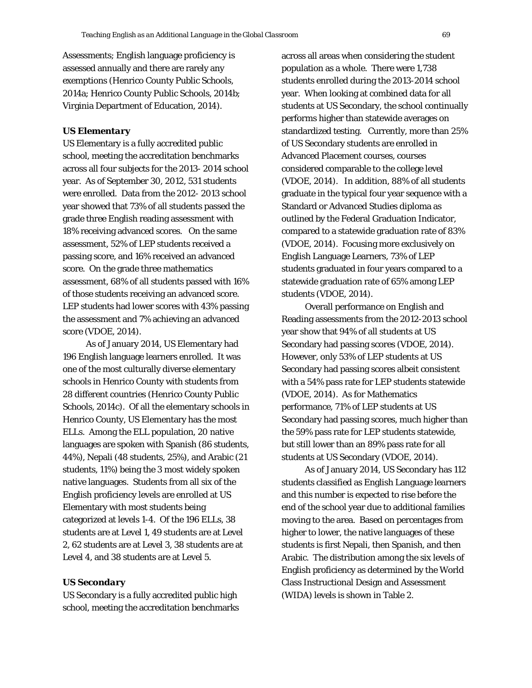Assessments; English language proficiency is assessed annually and there are rarely any exemptions (Henrico County Public Schools, 2014a; Henrico County Public Schools, 2014b; Virginia Department of Education, 2014).

### *US Elementary*

US Elementary is a fully accredited public school, meeting the accreditation benchmarks across all four subjects for the 2013- 2014 school year. As of September 30, 2012, 531 students were enrolled. Data from the 2012- 2013 school year showed that 73% of all students passed the grade three English reading assessment with 18% receiving advanced scores. On the same assessment, 52% of LEP students received a passing score, and 16% received an advanced score. On the grade three mathematics assessment, 68% of all students passed with 16% of those students receiving an advanced score. LEP students had lower scores with 43% passing the assessment and 7% achieving an advanced score (VDOE, 2014).

As of January 2014, US Elementary had 196 English language learners enrolled. It was one of the most culturally diverse elementary schools in Henrico County with students from 28 different countries (Henrico County Public Schools, 2014c). Of all the elementary schools in Henrico County, US Elementary has the most ELLs. Among the ELL population, 20 native languages are spoken with Spanish (86 students, 44%), Nepali (48 students, 25%), and Arabic (21 students, 11%) being the 3 most widely spoken native languages. Students from all six of the English proficiency levels are enrolled at US Elementary with most students being categorized at levels 1-4. Of the 196 ELLs, 38 students are at Level 1, 49 students are at Level 2, 62 students are at Level 3, 38 students are at Level 4, and 38 students are at Level 5.

# *US Secondary*

US Secondary is a fully accredited public high school, meeting the accreditation benchmarks

across all areas when considering the student population as a whole. There were 1,738 students enrolled during the 2013-2014 school year. When looking at combined data for all students at US Secondary, the school continually performs higher than statewide averages on standardized testing. Currently, more than 25% of US Secondary students are enrolled in Advanced Placement courses, courses considered comparable to the college level (VDOE, 2014). In addition, 88% of all students graduate in the typical four year sequence with a Standard or Advanced Studies diploma as outlined by the Federal Graduation Indicator, compared to a statewide graduation rate of 83% (VDOE, 2014). Focusing more exclusively on English Language Learners, 73% of LEP students graduated in four years compared to a statewide graduation rate of 65% among LEP students (VDOE, 2014).

Overall performance on English and Reading assessments from the 2012-2013 school year show that 94% of all students at US Secondary had passing scores (VDOE, 2014). However, only 53% of LEP students at US Secondary had passing scores albeit consistent with a 54% pass rate for LEP students statewide (VDOE, 2014). As for Mathematics performance, 71% of LEP students at US Secondary had passing scores, much higher than the 59% pass rate for LEP students statewide, but still lower than an 89% pass rate for all students at US Secondary (VDOE, 2014).

As of January 2014, US Secondary has 112 students classified as English Language learners and this number is expected to rise before the end of the school year due to additional families moving to the area. Based on percentages from higher to lower, the native languages of these students is first Nepali, then Spanish, and then Arabic. The distribution among the six levels of English proficiency as determined by the World Class Instructional Design and Assessment (WIDA) levels is shown in Table 2.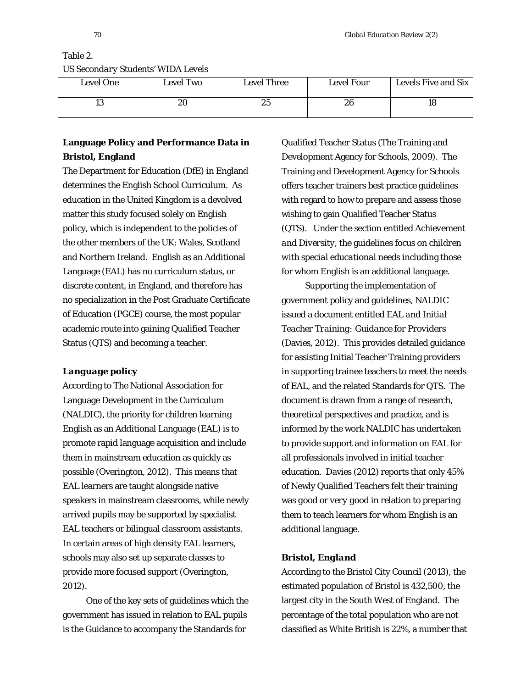Table 2.

# Level One Level Two Level Three Level Four Levels Five and Six 13 | 20 | 25 | 26 | 18

# *US Secondary Students' WIDA Levels*

# **Language Policy and Performance Data in Bristol, England**

The Department for Education (DfE) in England determines the English School Curriculum. As education in the United Kingdom is a devolved matter this study focused solely on English policy, which is independent to the policies of the other members of the UK: Wales, Scotland and Northern Ireland. English as an Additional Language (EAL) has no curriculum status, or discrete content, in England, and therefore has no specialization in the Post Graduate Certificate of Education (PGCE) course, the most popular academic route into gaining Qualified Teacher Status (QTS) and becoming a teacher.

# *Language policy*

According to The National Association for Language Development in the Curriculum (NALDIC), the priority for children learning English as an Additional Language (EAL) is to promote rapid language acquisition and include them in mainstream education as quickly as possible (Overington, 2012). This means that EAL learners are taught alongside native speakers in mainstream classrooms, while newly arrived pupils may be supported by specialist EAL teachers or bilingual classroom assistants. In certain areas of high density EAL learners, schools may also set up separate classes to provide more focused support (Overington, 2012).

One of the key sets of guidelines which the government has issued in relation to EAL pupils is the Guidance to accompany the Standards for

Qualified Teacher Status (The Training and Development Agency for Schools, 2009). The Training and Development Agency for Schools offers teacher trainers best practice guidelines with regard to how to prepare and assess those wishing to gain Qualified Teacher Status (QTS). Under the section entitled *Achievement and Diversity,* the guidelines focus on *children with special educational needs* including those for whom English is an additional language.

Supporting the implementation of government policy and guidelines, NALDIC issued a document entitled *EAL and Initial Teacher Training: Guidance for Providers*  (Davies, 2012). This provides detailed guidance for assisting Initial Teacher Training providers in supporting trainee teachers to meet the needs of EAL, and the related Standards for QTS. The document is drawn from a range of research, theoretical perspectives and practice, and is informed by the work NALDIC has undertaken to provide support and information on EAL for all professionals involved in initial teacher education. Davies (2012) reports that only 45% of Newly Qualified Teachers felt their training was *good* or *very good* in relation to preparing them to teach learners for whom English is an additional language.

### *Bristol, England*

According to the Bristol City Council (2013), the estimated population of Bristol is 432,500, the largest city in the South West of England. The percentage of the total population who are not classified as White British is 22%, a number that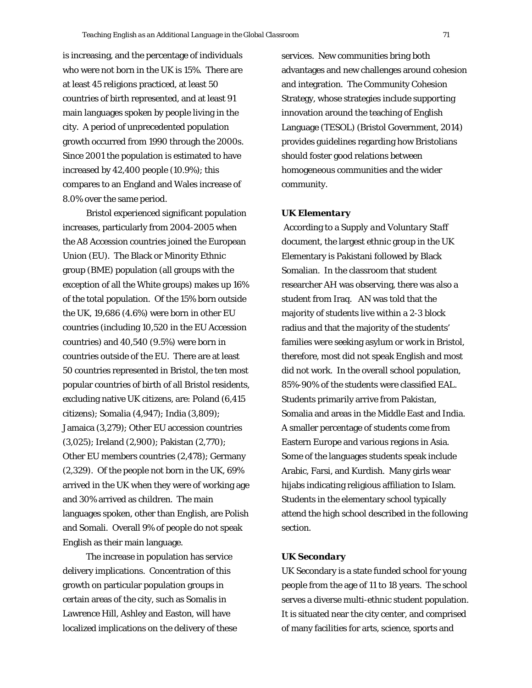is increasing, and the percentage of individuals who were not born in the UK is 15%. There are at least 45 religions practiced, at least 50 countries of birth represented, and at least 91 main languages spoken by people living in the city. A period of unprecedented population growth occurred from 1990 through the 2000s. Since 2001 the population is estimated to have increased by 42,400 people (10.9%); this compares to an England and Wales increase of 8.0% over the same period.

Bristol experienced significant population increases, particularly from 2004-2005 when the A8 Accession countries joined the European Union (EU). The Black or Minority Ethnic group (BME) population (all groups with the exception of all the White groups) makes up 16% of the total population. Of the 15% born outside the UK, 19,686 (4.6%) were born in other EU countries (including 10,520 in the EU Accession countries) and 40,540 (9.5%) were born in countries outside of the EU. There are at least 50 countries represented in Bristol, the ten most popular countries of birth of all Bristol residents, excluding native UK citizens, are: Poland (6,415 citizens); Somalia (4,947); India (3,809); Jamaica (3,279); Other EU accession countries (3,025); Ireland (2,900); Pakistan (2,770); Other EU members countries (2,478); Germany (2,329). Of the people not born in the UK, 69% arrived in the UK when they were of working age and 30% arrived as children. The main languages spoken, other than English, are Polish and Somali. Overall 9% of people do not speak English as their main language.

The increase in population has service delivery implications. Concentration of this growth on particular population groups in certain areas of the city, such as Somalis in Lawrence Hill, Ashley and Easton, will have localized implications on the delivery of these services. New communities bring both advantages and new challenges around cohesion and integration. The Community Cohesion Strategy, whose strategies include supporting innovation around the teaching of English Language (TESOL) (Bristol Government, 2014) provides guidelines regarding how Bristolians should foster good relations between homogeneous communities and the wider community.

### *UK Elementary*

According to a *Supply and Voluntary Staff* document, the largest ethnic group in the UK Elementary is Pakistani followed by Black Somalian. In the classroom that student researcher AH was observing, there was also a student from Iraq. AN was told that the majority of students live within a 2-3 block radius and that the majority of the students' families were seeking asylum or work in Bristol, therefore, most did not speak English and most did not work. In the overall school population, 85%-90% of the students were classified EAL. Students primarily arrive from Pakistan, Somalia and areas in the Middle East and India. A smaller percentage of students come from Eastern Europe and various regions in Asia. Some of the languages students speak include Arabic, Farsi, and Kurdish. Many girls wear hijabs indicating religious affiliation to Islam. Students in the elementary school typically attend the high school described in the following section.

### *UK Secondary*

UK Secondary is a state funded school for young people from the age of 11 to 18 years. The school serves a diverse multi-ethnic student population. It is situated near the city center, and comprised of many facilities for arts, science, sports and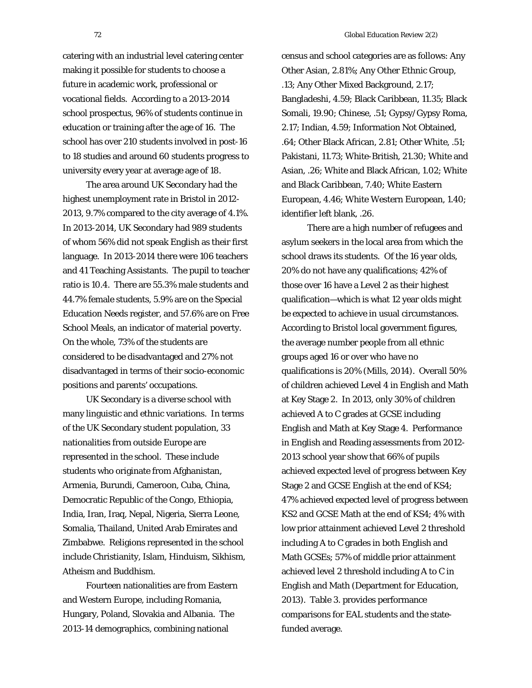catering with an industrial level catering center making it possible for students to choose a future in academic work, professional or vocational fields. According to a 2013-2014 school prospectus, 96% of students continue in education or training after the age of 16. The school has over 210 students involved in post-16 to 18 studies and around 60 students progress to university every year at average age of 18.

The area around UK Secondary had the highest unemployment rate in Bristol in 2012- 2013, 9.7% compared to the city average of 4.1%. In 2013-2014, UK Secondary had 989 students of whom 56% did not speak English as their first language. In 2013-2014 there were 106 teachers and 41 Teaching Assistants. The pupil to teacher ratio is 10.4. There are 55.3% male students and 44.7% female students, 5.9% are on the Special Education Needs register, and 57.6% are on Free School Meals, an indicator of material poverty. On the whole, 73% of the students are considered to be disadvantaged and 27% not disadvantaged in terms of their socio-economic positions and parents' occupations.

UK Secondary is a diverse school with many linguistic and ethnic variations. In terms of the UK Secondary student population, 33 nationalities from outside Europe are represented in the school. These include students who originate from Afghanistan, Armenia, Burundi, Cameroon, Cuba, China, Democratic Republic of the Congo, Ethiopia, India, Iran, Iraq, Nepal, Nigeria, Sierra Leone, Somalia, Thailand, United Arab Emirates and Zimbabwe. Religions represented in the school include Christianity, Islam, Hinduism, Sikhism, Atheism and Buddhism.

Fourteen nationalities are from Eastern and Western Europe, including Romania, Hungary, Poland, Slovakia and Albania. The 2013-14 demographics, combining national

census and school categories are as follows: Any Other Asian, 2.81%; Any Other Ethnic Group, .13; Any Other Mixed Background, 2.17; Bangladeshi, 4.59; Black Caribbean, 11.35; Black Somali, 19.90; Chinese, .51; Gypsy/Gypsy Roma, 2.17; Indian, 4.59; Information Not Obtained, .64; Other Black African, 2.81; Other White, .51; Pakistani, 11.73; White-British, 21.30; White and Asian, .26; White and Black African, 1.02; White and Black Caribbean, 7.40; White Eastern European, 4.46; White Western European, 1.40; identifier left blank, .26.

There are a high number of refugees and asylum seekers in the local area from which the school draws its students. Of the 16 year olds, 20% do not have any qualifications; 42% of those over 16 have a Level 2 as their highest qualification—which is what 12 year olds might be expected to achieve in usual circumstances. According to Bristol local government figures, the average number people from all ethnic groups aged 16 or over who have no qualifications is 20% (Mills, 2014). Overall 50% of children achieved Level 4 in English and Math at Key Stage 2. In 2013, only 30% of children achieved A to C grades at GCSE including English and Math at Key Stage 4. Performance in English and Reading assessments from 2012- 2013 school year show that 66% of pupils achieved expected level of progress between Key Stage 2 and GCSE English at the end of KS4; 47% achieved expected level of progress between KS2 and GCSE Math at the end of KS4; 4% with low prior attainment achieved Level 2 threshold including A to C grades in both English and Math GCSEs; 57% of middle prior attainment achieved level 2 threshold including A to C in English and Math (Department for Education, 2013). Table 3. provides performance comparisons for EAL students and the statefunded average.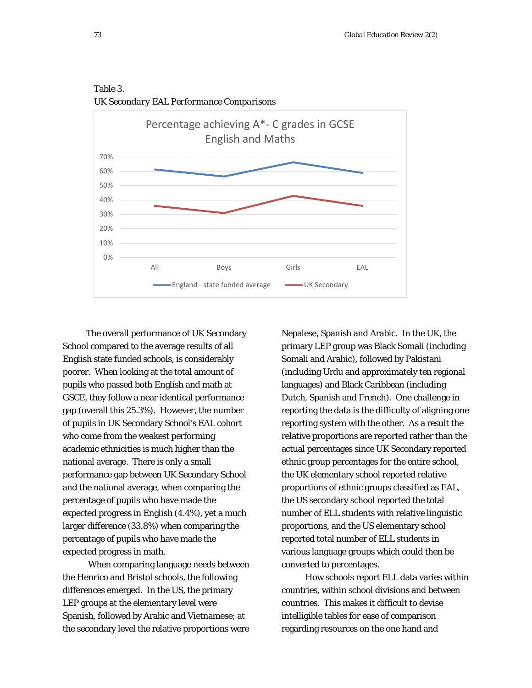

Table 3. *UK Secondary EAL Performance Comparisons*

The overall performance of UK Secondary School compared to the average results of all English state funded schools, is considerably poorer. When looking at the total amount of pupils who passed both English and math at GSCE, they follow a near identical performance gap (overall this 25.3%). However, the number of pupils in UK Secondary School's EAL cohort who come from the weakest performing academic ethnicities is much higher than the national average. There is only a small performance gap between UK Secondary School and the national average, when comparing the percentage of pupils who have made the expected progress in English (4.4%), yet a much larger difference (33.8%) when comparing the percentage of pupils who have made the expected progress in math.

When comparing language needs between the Henrico and Bristol schools, the following differences emerged. In the US, the primary LEP groups at the elementary level were Spanish, followed by Arabic and Vietnamese; at the secondary level the relative proportions were

Nepalese, Spanish and Arabic. In the UK, the primary LEP group was Black Somali (including Somali and Arabic), followed by Pakistani (including Urdu and approximately ten regional languages) and Black Caribbean (including Dutch, Spanish and French). One challenge in reporting the data is the difficulty of aligning one reporting system with the other. As a result the relative proportions are reported rather than the actual percentages since UK Secondary reported ethnic group percentages for the entire school, the UK elementary school reported relative proportions of ethnic groups classified as EAL, the US secondary school reported the total number of ELL students with relative linguistic proportions, and the US elementary school reported total number of ELL students in various language groups which could then be converted to percentages.

How schools report ELL data varies within countries, within school divisions and between countries. This makes it difficult to devise intelligible tables for ease of comparison regarding resources on the one hand and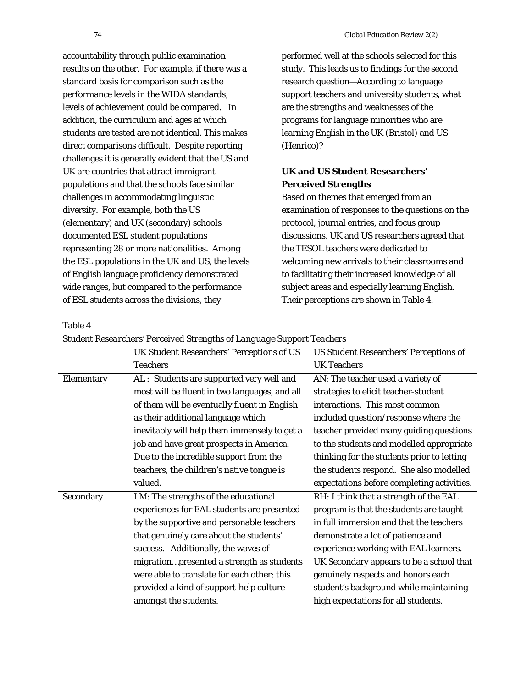Table 4

accountability through public examination results on the other. For example, if there was a standard basis for comparison such as the performance levels in the WIDA standards, levels of achievement could be compared. In addition, the curriculum and ages at which students are tested are not identical. This makes direct comparisons difficult. Despite reporting challenges it is generally evident that the US and UK are countries that attract immigrant populations and that the schools face similar challenges in accommodating linguistic diversity. For example, both the US (elementary) and UK (secondary) schools documented ESL student populations representing 28 or more nationalities. Among the ESL populations in the UK and US, the levels of English language proficiency demonstrated wide ranges, but compared to the performance of ESL students across the divisions, they

performed well at the schools selected for this study. This leads us to findings for the second research question—According to language support teachers and university students, what are the strengths and weaknesses of the programs for language minorities who are learning English in the UK (Bristol) and US (Henrico)?

# **UK and US Student Researchers' Perceived Strengths**

Based on themes that emerged from an examination of responses to the questions on the protocol, journal entries, and focus group discussions, UK and US researchers agreed that the TESOL teachers were dedicated to welcoming new arrivals to their classrooms and to facilitating their increased knowledge of all subject areas and especially learning English. Their perceptions are shown in Table 4.

|            | UK Student Researchers' Perceptions of US     | <b>US Student Researchers' Perceptions of</b> |  |
|------------|-----------------------------------------------|-----------------------------------------------|--|
|            | <b>Teachers</b>                               | <b>UK Teachers</b>                            |  |
| Elementary | AL : Students are supported very well and     | AN: The teacher used a variety of             |  |
|            | most will be fluent in two languages, and all | strategies to elicit teacher-student          |  |
|            | of them will be eventually fluent in English  | interactions. This most common                |  |
|            | as their additional language which            | included question/response where the          |  |
|            | inevitably will help them immensely to get a  | teacher provided many guiding questions       |  |
|            | job and have great prospects in America.      | to the students and modelled appropriate      |  |
|            | Due to the incredible support from the        | thinking for the students prior to letting    |  |
|            | teachers, the children's native tongue is     | the students respond. She also modelled       |  |
|            | valued.                                       | expectations before completing activities.    |  |
| Secondary  | LM: The strengths of the educational          | RH: I think that a strength of the EAL        |  |
|            | experiences for EAL students are presented    | program is that the students are taught       |  |
|            | by the supportive and personable teachers     | in full immersion and that the teachers       |  |
|            | that genuinely care about the students'       | demonstrate a lot of patience and             |  |
|            | success. Additionally, the waves of           | experience working with EAL learners.         |  |
|            | migrationpresented a strength as students     | UK Secondary appears to be a school that      |  |
|            | were able to translate for each other; this   | genuinely respects and honors each            |  |
|            | provided a kind of support-help culture       | student's background while maintaining        |  |
|            | amongst the students.                         | high expectations for all students.           |  |
|            |                                               |                                               |  |

*Student Researchers' Perceived Strengths of Language Support Teachers*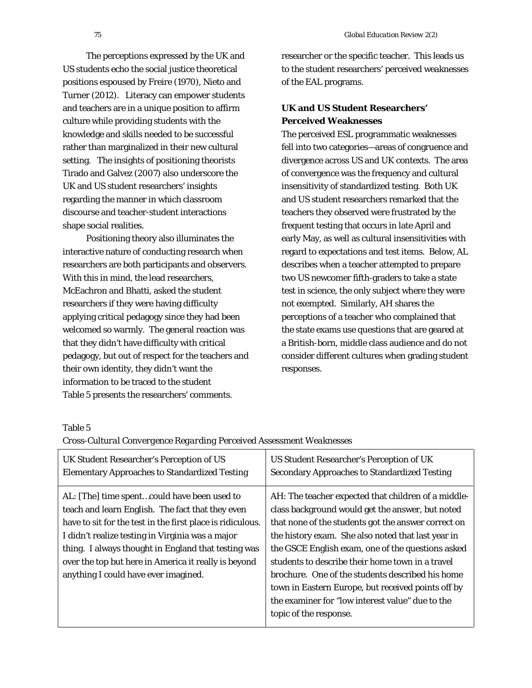The perceptions expressed by the UK and US students echo the social justice theoretical positions espoused by Freire (1970), Nieto and Turner (2012). Literacy can empower students and teachers are in a unique position to affirm culture while providing students with the knowledge and skills needed to be successful rather than marginalized in their new cultural setting. The insights of positioning theorists Tirado and Galvez (2007) also underscore the UK and US student researchers' insights regarding the manner in which classroom discourse and teacher-student interactions shape social realities.

Positioning theory also illuminates the interactive nature of conducting research when researchers are both participants and observers. With this in mind, the lead researchers, McEachron and Bhatti, asked the student researchers if they were having difficulty applying critical pedagogy since they had been welcomed so warmly. The general reaction was that they didn't have difficulty with critical pedagogy, but out of respect for the teachers and their own identity, they didn't want the information to be traced to the student Table 5 presents the researchers' comments.

researcher or the specific teacher. This leads us to the student researchers' perceived weaknesses of the EAL programs.

# **UK and US Student Researchers' Perceived Weaknesses**

The perceived ESL programmatic weaknesses fell into two categories—areas of congruence and divergence across US and UK contexts. The area of convergence was the frequency and cultural insensitivity of standardized testing. Both UK and US student researchers remarked that the teachers they observed were frustrated by the frequent testing that occurs in late April and early May, as well as cultural insensitivities with regard to expectations and test items. Below, AL describes when a teacher attempted to prepare two US newcomer fifth-graders to take a state test in science, the only subject where they were not exempted. Similarly, AH shares the perceptions of a teacher who complained that the state exams use questions that are geared at a British-born, middle class audience and do not consider different cultures when grading student responses.

Table 5

| UK Student Researcher's Perception of US                                                                                                                                                                                                                                                                                                                                 | <b>US Student Researcher's Perception of UK</b>                                                                                                                                                                                                                                                                                                                                                                                                                                                                       |
|--------------------------------------------------------------------------------------------------------------------------------------------------------------------------------------------------------------------------------------------------------------------------------------------------------------------------------------------------------------------------|-----------------------------------------------------------------------------------------------------------------------------------------------------------------------------------------------------------------------------------------------------------------------------------------------------------------------------------------------------------------------------------------------------------------------------------------------------------------------------------------------------------------------|
| <b>Elementary Approaches to Standardized Testing</b>                                                                                                                                                                                                                                                                                                                     | <b>Secondary Approaches to Standardized Testing</b>                                                                                                                                                                                                                                                                                                                                                                                                                                                                   |
| AL: [The] time spentcould have been used to<br>teach and learn English. The fact that they even<br>have to sit for the test in the first place is ridiculous.<br>I didn't realize testing in Virginia was a major<br>thing. I always thought in England that testing was<br>over the top but here in America it really is beyond<br>anything I could have ever imagined. | AH: The teacher expected that children of a middle-<br>class background would get the answer, but noted<br>that none of the students got the answer correct on<br>the history exam. She also noted that last year in<br>the GSCE English exam, one of the questions asked<br>students to describe their home town in a travel<br>brochure. One of the students described his home<br>town in Eastern Europe, but received points off by<br>the examiner for "low interest value" due to the<br>topic of the response. |

*Cross-Cultural Convergence Regarding Perceived Assessment Weaknesses*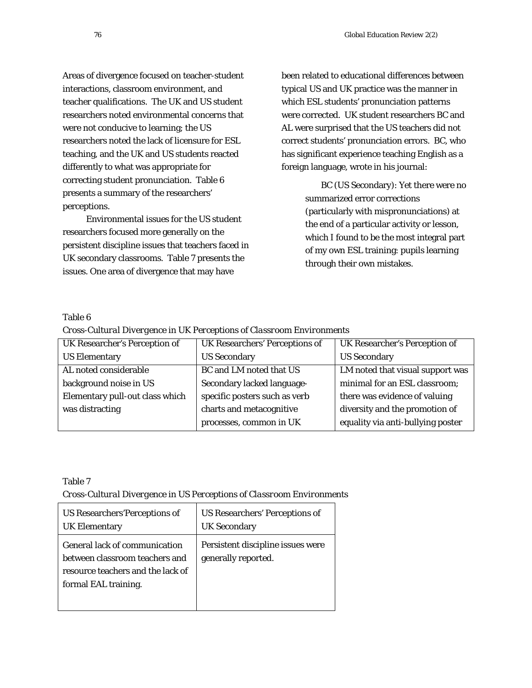Areas of divergence focused on teacher-student interactions, classroom environment, and teacher qualifications. The UK and US student researchers noted environmental concerns that were not conducive to learning; the US researchers noted the lack of licensure for ESL teaching, and the UK and US students reacted differently to what was appropriate for correcting student pronunciation. Table 6 presents a summary of the researchers' perceptions.

Environmental issues for the US student researchers focused more generally on the persistent discipline issues that teachers faced in UK secondary classrooms. Table 7 presents the issues. One area of divergence that may have

been related to educational differences between typical US and UK practice was the manner in which ESL students' pronunciation patterns were corrected. UK student researchers BC and AL were surprised that the US teachers did not correct students' pronunciation errors. BC, who has significant experience teaching English as a foreign language, wrote in his journal:

> BC (US Secondary): Yet there were no summarized error corrections (particularly with mispronunciations) at the end of a particular activity or lesson, which I found to be the most integral part of my own ESL training: pupils learning through their own mistakes.

# Table 6

*Cross-Cultural Divergence in UK Perceptions of Classroom Environments*

| UK Researcher's Perception of   | UK Researchers' Perceptions of | UK Researcher's Perception of     |
|---------------------------------|--------------------------------|-----------------------------------|
| <b>US Elementary</b>            | <b>US Secondary</b>            | <b>US Secondary</b>               |
| AL noted considerable           | BC and LM noted that US        | LM noted that visual support was  |
| background noise in US          | Secondary lacked language-     | minimal for an ESL classroom;     |
| Elementary pull-out class which | specific posters such as verb  | there was evidence of valuing     |
| was distracting                 | charts and metacognitive       | diversity and the promotion of    |
|                                 | processes, common in UK        | equality via anti-bullying poster |

# Table 7

*Cross-Cultural Divergence in US Perceptions of Classroom Environments*

| <b>US Researchers' Perceptions of</b>                                                                                               | <b>US Researchers' Perceptions of</b>                    |
|-------------------------------------------------------------------------------------------------------------------------------------|----------------------------------------------------------|
| <b>UK Elementary</b>                                                                                                                | <b>UK Secondary</b>                                      |
| <b>General lack of communication</b><br>between classroom teachers and<br>resource teachers and the lack of<br>formal EAL training. | Persistent discipline issues were<br>generally reported. |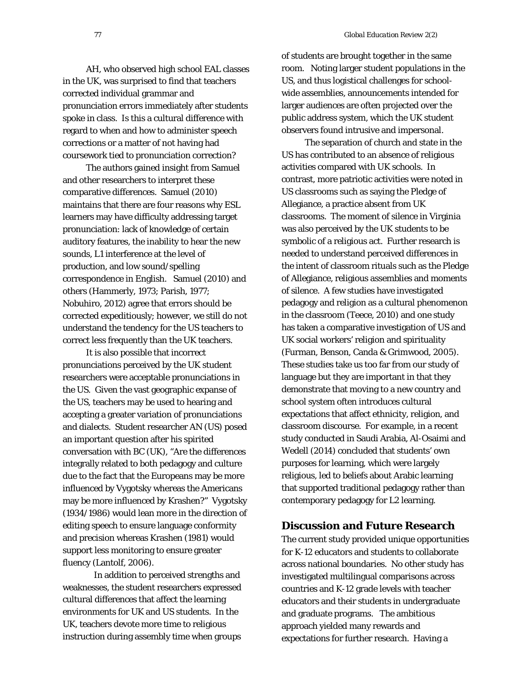AH, who observed high school EAL classes in the UK, was surprised to find that teachers corrected individual grammar and pronunciation errors immediately after students spoke in class. Is this a cultural difference with regard to when and how to administer speech corrections or a matter of not having had coursework tied to pronunciation correction?

The authors gained insight from Samuel and other researchers to interpret these comparative differences. Samuel (2010) maintains that there are four reasons why ESL learners may have difficulty addressing target pronunciation: lack of knowledge of certain auditory features, the inability to hear the new sounds, L1 interference at the level of production, and low sound/spelling correspondence in English. Samuel (2010) and others (Hammerly, 1973; Parish, 1977; Nobuhiro, 2012) agree that errors should be corrected expeditiously; however, we still do not understand the tendency for the US teachers to correct less frequently than the UK teachers.

It is also possible that incorrect pronunciations perceived by the UK student researchers were acceptable pronunciations in the US. Given the vast geographic expanse of the US, teachers may be used to hearing and accepting a greater variation of pronunciations and dialects. Student researcher AN (US) posed an important question after his spirited conversation with BC (UK), "Are the differences integrally related to both pedagogy and culture due to the fact that the Europeans may be more influenced by Vygotsky whereas the Americans may be more influenced by Krashen?" Vygotsky (1934/1986) would lean more in the direction of editing speech to ensure language conformity and precision whereas Krashen (1981) would support less monitoring to ensure greater fluency (Lantolf, 2006).

In addition to perceived strengths and weaknesses, the student researchers expressed cultural differences that affect the learning environments for UK and US students. In the UK, teachers devote more time to religious instruction during assembly time when groups

of students are brought together in the same room. Noting larger student populations in the US, and thus logistical challenges for schoolwide assemblies, announcements intended for larger audiences are often projected over the public address system, which the UK student observers found intrusive and impersonal.

The separation of church and state in the US has contributed to an absence of religious activities compared with UK schools. In contrast, more patriotic activities were noted in US classrooms such as saying the Pledge of Allegiance, a practice absent from UK classrooms. The moment of silence in Virginia was also perceived by the UK students to be symbolic of a religious act. Further research is needed to understand perceived differences in the intent of classroom rituals such as the Pledge of Allegiance, religious assemblies and moments of silence. A few studies have investigated pedagogy and religion as a cultural phenomenon in the classroom (Teece, 2010) and one study has taken a comparative investigation of US and UK social workers' religion and spirituality (Furman, Benson, Canda & Grimwood, 2005). These studies take us too far from our study of language but they are important in that they demonstrate that moving to a new country and school system often introduces cultural expectations that affect ethnicity, religion, and classroom discourse. For example, in a recent study conducted in Saudi Arabia, Al-Osaimi and Wedell (2014) concluded that students' own purposes for learning, which were largely religious, led to beliefs about Arabic learning that supported traditional pedagogy rather than contemporary pedagogy for L2 learning.

# **Discussion and Future Research**

The current study provided unique opportunities for K-12 educators and students to collaborate across national boundaries. No other study has investigated multilingual comparisons across countries and K-12 grade levels with teacher educators and their students in undergraduate and graduate programs. The ambitious approach yielded many rewards and expectations for further research. Having a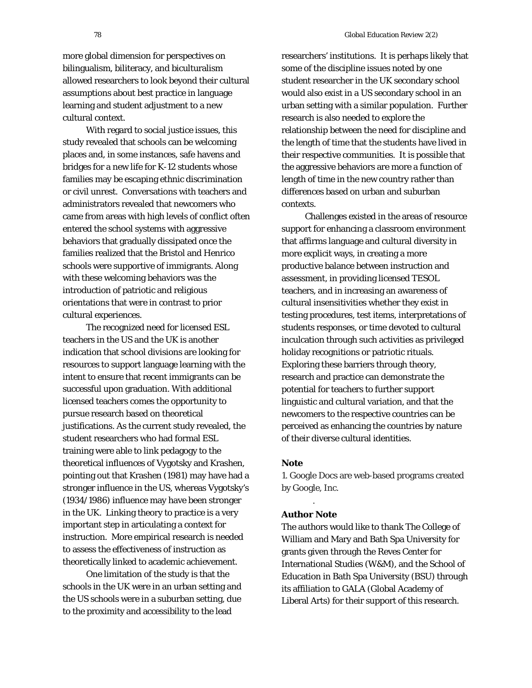more global dimension for perspectives on bilingualism, biliteracy, and biculturalism allowed researchers to look beyond their cultural assumptions about best practice in language learning and student adjustment to a new cultural context.

With regard to social justice issues, this study revealed that schools can be welcoming places and, in some instances, safe havens and bridges for a new life for K-12 students whose families may be escaping ethnic discrimination or civil unrest. Conversations with teachers and administrators revealed that newcomers who came from areas with high levels of conflict often entered the school systems with aggressive behaviors that gradually dissipated once the families realized that the Bristol and Henrico schools were supportive of immigrants. Along with these welcoming behaviors was the introduction of patriotic and religious orientations that were in contrast to prior cultural experiences.

The recognized need for licensed ESL teachers in the US and the UK is another indication that school divisions are looking for resources to support language learning with the intent to ensure that recent immigrants can be successful upon graduation. With additional licensed teachers comes the opportunity to pursue research based on theoretical justifications. As the current study revealed, the student researchers who had formal ESL training were able to link pedagogy to the theoretical influences of Vygotsky and Krashen, pointing out that Krashen (1981) may have had a stronger influence in the US, whereas Vygotsky's (1934/1986) influence may have been stronger in the UK. Linking theory to practice is a very important step in articulating a context for instruction. More empirical research is needed to assess the effectiveness of instruction as theoretically linked to academic achievement.

One limitation of the study is that the schools in the UK were in an urban setting and the US schools were in a suburban setting, due to the proximity and accessibility to the lead

researchers' institutions. It is perhaps likely that some of the discipline issues noted by one student researcher in the UK secondary school would also exist in a US secondary school in an urban setting with a similar population. Further research is also needed to explore the relationship between the need for discipline and the length of time that the students have lived in their respective communities. It is possible that the aggressive behaviors are more a function of length of time in the new country rather than differences based on urban and suburban contexts.

Challenges existed in the areas of resource support for enhancing a classroom environment that affirms language and cultural diversity in more explicit ways, in creating a more productive balance between instruction and assessment, in providing licensed TESOL teachers, and in increasing an awareness of cultural insensitivities whether they exist in testing procedures, test items, interpretations of students responses, or time devoted to cultural inculcation through such activities as privileged holiday recognitions or patriotic rituals. Exploring these barriers through theory, research and practice can demonstrate the potential for teachers to further support linguistic and cultural variation, and that the newcomers to the respective countries can be perceived as enhancing the countries by nature of their diverse cultural identities.

# **Note**

1. Google Docs are web-based programs created by Google, Inc.

### **Author Note**

.

The authors would like to thank The College of William and Mary and Bath Spa University for grants given through the Reves Center for International Studies (W&M), and the School of Education in Bath Spa University (BSU) through its affiliation to GALA (Global Academy of Liberal Arts) for their support of this research.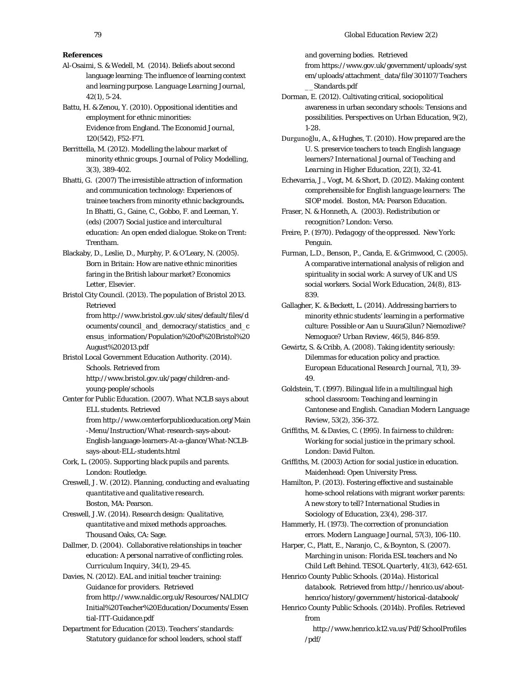#### **References**

Al-Osaimi, S. & Wedell, M. (2014). Beliefs about second language learning: The influence of learning context and learning purpose. *Language Learning Journal*, *42*(1), 5-24.

Battu, H. & Zenou, Y. (2010). Oppositional identities and employment for ethnic minorities: Evidence from England. *The Economid Journal, 120*(542), F52-F71.

Berrittella, M. (2012). Modelling the labour market of minority ethnic groups. *Journal of Policy Modelling, 3*(3), 389-402.

Bhatti, G. (2007) The irresistible attraction of information and communication technology: Experiences of trainee teachers from minority ethnic backgrounds**.** In Bhatti, G., Gaine, C., Gobbo, F. and Leeman, Y. (eds) (2007) *Social justice and intercultural education: An open ended dialogue.* Stoke on Trent: Trentham.

Blackaby, D., Leslie, D., Murphy, P. & O'Leary, N. (2005). Born in Britain: How are native ethnic minorities faring in the British labour market? *Economics Letter, Elsevier.*

Bristol City Council. (2013). *The population of Bristol 2013.*  Retrieved

> fro[m http://www.bristol.gov.uk/sites/default/files/d](http://www.bristol.gov.uk/sites/default/files/documents/council_and_democracy/statistics_and_census_information/Population%20of%20Bristol%20August%202013.pdf) [ocuments/council\\_and\\_democracy/statistics\\_and\\_c](http://www.bristol.gov.uk/sites/default/files/documents/council_and_democracy/statistics_and_census_information/Population%20of%20Bristol%20August%202013.pdf) [ensus\\_information/Population%20of%20Bristol%20](http://www.bristol.gov.uk/sites/default/files/documents/council_and_democracy/statistics_and_census_information/Population%20of%20Bristol%20August%202013.pdf) [August%202013.pdf](http://www.bristol.gov.uk/sites/default/files/documents/council_and_democracy/statistics_and_census_information/Population%20of%20Bristol%20August%202013.pdf)

Bristol Local Government Education Authority. (2014). Schools. Retrieved from [http://www.bristol.gov.uk/page/children-and-](http://www.bristol.gov.uk/page/children-and-young-people/schools)

[young-people/schools](http://www.bristol.gov.uk/page/children-and-young-people/schools)

Center for Public Education. (2007). *What NCLB says about ELL students.* Retrieved fro[m http://www.centerforpubliceducation.org/Main](http://www.centerforpubliceducation.org/Main-Menu/Instruction/What-research-says-about-English-language-learners-At-a-glance/What-NCLB-says-about-ELL-students.html)

> [-Menu/Instruction/What-research-says-about-](http://www.centerforpubliceducation.org/Main-Menu/Instruction/What-research-says-about-English-language-learners-At-a-glance/What-NCLB-says-about-ELL-students.html)[English-language-learners-At-a-glance/What-NCLB](http://www.centerforpubliceducation.org/Main-Menu/Instruction/What-research-says-about-English-language-learners-At-a-glance/What-NCLB-says-about-ELL-students.html)[says-about-ELL-students.html](http://www.centerforpubliceducation.org/Main-Menu/Instruction/What-research-says-about-English-language-learners-At-a-glance/What-NCLB-says-about-ELL-students.html)

Cork, L. (2005). *Supporting black pupils and parents.*  London: Routledge.

Creswell, J. W. (2012). *Planning, conducting and evaluating quantitative and qualitative research.* Boston, MA: Pearson.

Creswell, J.W. (2014). *Research design: Qualitative, quantitative and mixed methods approaches.*  Thousand Oaks, CA: Sage.

Dallmer, D. (2004). Collaborative relationships in teacher education: A personal narrative of conflicting roles. *Curriculum Inquiry, 34*(1), 29-45.

Davies, N. (2012). *EAL and initial teacher training: Guidance for providers*. Retrieved fro[m http://www.naldic.org.uk/Resources/NALDIC/](http://www.naldic.org.uk/Resources/NALDIC/Initial%20Teacher%20Education/Documents/Essential-ITT-Guidance.pdf) [Initial%20Teacher%20Education/Documents/Essen](http://www.naldic.org.uk/Resources/NALDIC/Initial%20Teacher%20Education/Documents/Essential-ITT-Guidance.pdf) [tial-ITT-Guidance.pdf](http://www.naldic.org.uk/Resources/NALDIC/Initial%20Teacher%20Education/Documents/Essential-ITT-Guidance.pdf)

Department for Education (2013). *Teachers' standards: Statutory guidance for school leaders, school staff*  *and governing bodies*. Retrieved from [https://www.gov.uk/government/uploads/syst](https://www.gov.uk/government/uploads/system/uploads/attachment_data/file/301107/Teachers__Standards.pdf)

[em/uploads/attachment\\_data/file/301107/Teachers](https://www.gov.uk/government/uploads/system/uploads/attachment_data/file/301107/Teachers__Standards.pdf) [\\_\\_Standards.pdf](https://www.gov.uk/government/uploads/system/uploads/attachment_data/file/301107/Teachers__Standards.pdf)

Dorman, E. (2012). Cultivating critical, sociopolitical awareness in urban secondary schools: Tensions and possibilities. *Perspectives on Urban Education, 9*(2), 1-28.

Durgunoğlu, A., & Hughes, T. (2010). How prepared are the U. S. preservice teachers to teach English language learners? *International Journal of Teaching and Learning in Higher Education*, *22*(1), 32-41.

Echevarria, J., Vogt, M. & Short, D. (2012). *Making content comprehensible for English language learners: The SIOP model.* Boston, MA: Pearson Education.

Fraser, N. & Honneth, A. (2003). *Redistribution or recognition?* London: Verso.

Freire, P. (1970). *Pedagogy of the oppressed.* New York: Penguin.

Furman, L.D., Benson, P., Canda, E. & Grimwood, C. (2005). A comparative international analysis of religion and spirituality in social work: A survey of UK and US social workers. *Social Work Education, 24*(8), 813- 839.

Gallagher, K. & Beckett, L. (2014). Addressing barriers to minority ethnic students' learning in a performative culture: Possible or Aan u SuuraGilun? Niemozliwe? Nemoguce? *Urban Review, 46*(5), 846-859.

Gewirtz, S. & Cribb, A. (2008). Taking identity seriously: Dilemmas for education policy and practice. *European Educational Research Journal, 7*(1), 39- 49.

Goldstein, T. (1997). Bilingual life in a multilingual high school classroom: Teaching and learning in Cantonese and English. *Canadian Modern Language Review*, *53*(2), 356-372.

Griffiths, M. & Davies, C. (1995). *In fairness to children: Working for social justice in the primary school.*  London: David Fulton.

Griffiths, M. (2003) *Action for social justice in education.*  Maidenhead: Open University Press.

Hamilton, P. (2013). Fostering effective and sustainable home-school relations with migrant worker parents: A new story to tell? *International Studies in Sociology of Education, 23*(4), 298-317.

Hammerly, H. (1973). The correction of pronunciation errors. *Modern Language Journal, 57*(3), 106-110.

Harper, C., Platt, E., Naranjo, C., & Boynton, S. (2007). Marching in unison: Florida ESL teachers and No Child Left Behind. *TESOL Quarterly, 41*(3), 642-651.

Henrico County Public Schools. (2014a). *Historical databook*. Retrieved fro[m http://henrico.us/about](http://henrico.us/about-henrico/history/government/historical-databook/)[henrico/history/government/historical-databook/](http://henrico.us/about-henrico/history/government/historical-databook/)

Henrico County Public Schools. (2014b). *Profiles*. Retrieved from

> [http://www.henrico.k12.va.us/Pdf/SchoolProfiles](http://www.henrico.k12.va.us/Pdf/SchoolProfiles/pdf/) [/pdf/](http://www.henrico.k12.va.us/Pdf/SchoolProfiles/pdf/)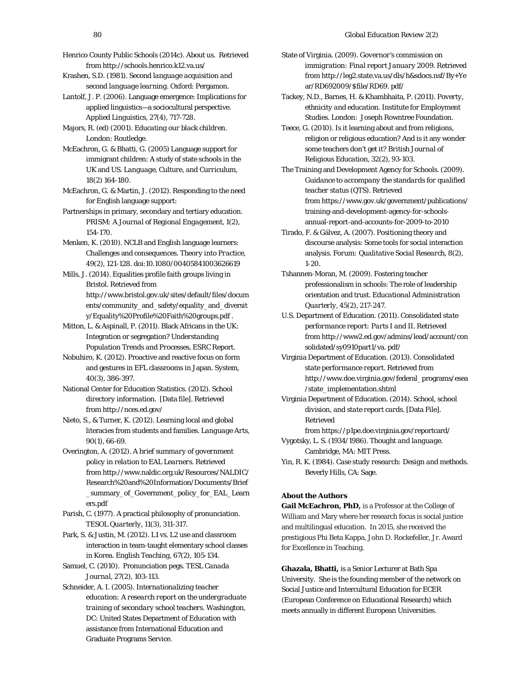- Henrico County Public Schools (2014c). *About us*. Retrieved fro[m http://schools.henrico.k12.va.us/](http://schools.henrico.k12.va.us/)
- Krashen, S.D. (1981). *Second language acquisition and second language learning*. Oxford: Pergamon.
- Lantolf, J. P. (2006). Language emergence: Implications for applied linguistics—a sociocultural perspective. *Applied Linguistics, 27*(4), 717-728.

Majors, R. (ed) (2001). *Educating our black children.*  London: Routledge.

- McEachron, G. & Bhatti, G. (2005) Language support for immigrant children: A study of state schools in the UK and US*. Language, Culture, and Curriculum, 18*(2) 164-180.
- McEachron, G. & Martin, J. (2012). Responding to the need for English language support:
- Partnerships in primary, secondary and tertiary education. *PRISM: A Journal of Regional Engagement, 1*(2), 154-170*.*
- Menken, K. (2010). NCLB and English language learners: Challenges and consequences. *Theory into Practice*, *49*(2), 121-128. doi:10.1080/00405841003626619
- Mills, J. (2014). Equalities profile faith groups living in Bristol. Retrieved from [http://www.bristol.gov.uk/sites/default/files/docum](http://www.bristol.gov.uk/sites/default/files/documents/community_and_safety/equality_and_diversity/Equality%20Profile%20Faith%20groups.pdf) [ents/community\\_and\\_safety/equality\\_and\\_diversit](http://www.bristol.gov.uk/sites/default/files/documents/community_and_safety/equality_and_diversity/Equality%20Profile%20Faith%20groups.pdf) [y/Equality%20Profile%20Faith%20groups.pdf](http://www.bristol.gov.uk/sites/default/files/documents/community_and_safety/equality_and_diversity/Equality%20Profile%20Faith%20groups.pdf) .
- Mitton, L. & Aspinall, P. (2011). Black Africans in the UK: Integration or segregation? *Understanding Population Trends and Processes,* ESRC Report.
- Nobuhiro, K. (2012). Proactive and reactive focus on form and gestures in EFL classrooms in Japan. *System, 40*(3), 386-397.
- National Center for Education Statistics. (2012). *School directory information.* [Data file]. Retrieved fro[m http://nces.ed.gov/](http://nces.ed.gov/)
- Nieto, S., & Turner, K. (2012). Learning local and global literacies from students and families. *Language Arts, 90*(1), 66-69.
- Overington, A. (2012). A *brief summary of government policy in relation to EAL Learners*. Retrieved fro[m http://www.naldic.org.uk/Resources/NALDIC/](http://www.naldic.org.uk/Resources/NALDIC/Research%20and%20Information/Documents/Brief_summary_of_Government_policy_for_EAL_Learners.pdf) [Research%20and%20Information/Documents/Brief](http://www.naldic.org.uk/Resources/NALDIC/Research%20and%20Information/Documents/Brief_summary_of_Government_policy_for_EAL_Learners.pdf) [\\_summary\\_of\\_Government\\_policy\\_for\\_EAL\\_Learn](http://www.naldic.org.uk/Resources/NALDIC/Research%20and%20Information/Documents/Brief_summary_of_Government_policy_for_EAL_Learners.pdf) [ers.pdf](http://www.naldic.org.uk/Resources/NALDIC/Research%20and%20Information/Documents/Brief_summary_of_Government_policy_for_EAL_Learners.pdf)
- Parish, C. (1977). A practical philosophy of pronunciation. *TESOL Quarterly, 11*(3), 311-317.
- Park, S. & Justin, M. (2012). L1 vs. L2 use and classroom interaction in team-taught elementary school classes in Korea. *English Teaching, 67*(2), 105-134.
- Samuel, C. (2010). Pronunciation pegs. *TESL Canada Journal, 27*(2), 103-113.
- Schneider, A. I. (2005). *Internationalizing teacher education: A research report on the undergraduate training of secondary school teachers.* Washington, DC: United States Department of Education with assistance from International Education and Graduate Programs Service.
- State of Virginia. (2009). *Governor's commission on immigration: Final report January 2009*. Retrieved fro[m http://leg2.state.va.us/dls/h&sdocs.nsf/By+Ye](http://leg2.state.va.us/dls/h&sdocs.nsf/By+Year/RD692009/$file/RD69.%20pdf/) [ar/RD692009/\\$file/RD69. pdf/](http://leg2.state.va.us/dls/h&sdocs.nsf/By+Year/RD692009/$file/RD69.%20pdf/)
- Tackey, N.D., Barnes, H. & Khambhaita, P. (2011). *Poverty, ethnicity and education.* Institute for Employment Studies. London: Joseph Rowntree Foundation.
- Teece, G. (2010). Is it learning about and from religions, religion or religious education? And is it any wonder some teachers don't get it? *British Journal of Religious Education, 32*(2), 93-103.
- The Training and Development Agency for Schools. (2009). *Guidance to accompany the standards for qualified teacher status (QTS).* Retrieved from [https://www.gov.uk/government/publications/](https://www.gov.uk/government/publications/training-and-development-agency-for-schools-annual-report-and-accounts-for-2009-to-2010) [training-and-development-agency-for-schools](https://www.gov.uk/government/publications/training-and-development-agency-for-schools-annual-report-and-accounts-for-2009-to-2010)[annual-report-and-accounts-for-2009-to-2010](https://www.gov.uk/government/publications/training-and-development-agency-for-schools-annual-report-and-accounts-for-2009-to-2010)
- Tirado, F. & Gálvez, A. (2007). Positioning theory and discourse analysis: Some tools for social interaction analysis. *Forum: Qualitative Social Research, 8*(2), 1-20.
- Tshannen-Moran, M. (2009). Fostering teacher professionalism in schools: The role of leadership orientation and trust. *Educational Administration Quarterly, 45*(2)*,* 217-247.
- U.S. Department of Education. (2011). *Consolidated state performance report: Parts I and II.* Retrieved fro[m http://www2.ed.gov/admins/lead/account/con](http://www2.ed.gov/admins/lead/account/consolidated/sy0910part1/va.%20pdf/) [solidated/sy0910part1/va. pdf/](http://www2.ed.gov/admins/lead/account/consolidated/sy0910part1/va.%20pdf/)
- Virginia Department of Education. (2013). *Consolidated state performance report*. Retrieved from [http://www.doe.virginia.gov/federal\\_programs/esea](http://www.doe.virginia.gov/federal_programs/esea/state_implementation.shtml) [/state\\_implementation.shtml](http://www.doe.virginia.gov/federal_programs/esea/state_implementation.shtml)
- Virginia Department of Education. (2014). *School, school division, and state report cards.* [Data File]*.* Retrieved
- fro[m https://p1pe.doe.virginia.gov/reportcard/](https://p1pe.doe.virginia.gov/reportcard/) Vygotsky, L. S. (1934/1986). *Thought and language.*
- Cambridge, MA: MIT Press. Yin, R. K. (1984). *Case study research: Design and methods.*  Beverly Hills, CA: Sage.

#### **About the Authors**

**Gail McEachron, PhD,** is a Professor at the College of William and Mary where her research focus is social justice and multilingual education. In 2015, she received the prestigious Phi Beta Kappa, John D. Rockefeller, Jr. Award for Excellence in Teaching.

**Ghazala, Bhatti,** is a Senior Lecturer at Bath Spa University. She is the founding member of the network on Social Justice and Intercultural Education for ECER (European Conference on Educational Research) which meets annually in different European Universities.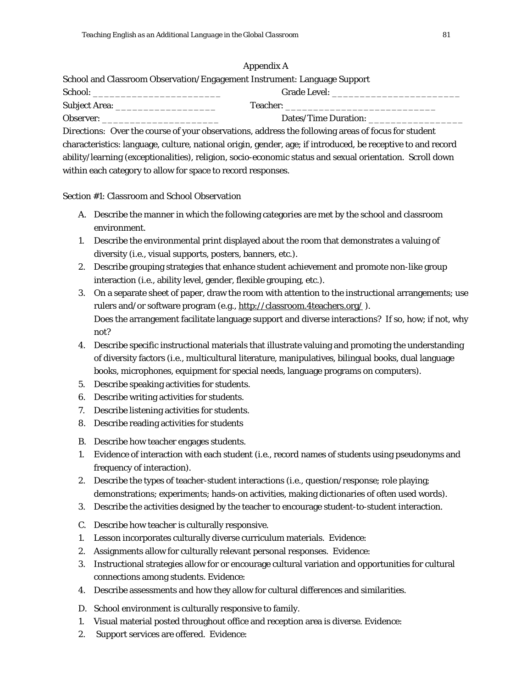# Appendix A

School and Classroom Observation/Engagement Instrument: Language Support

| School               | <b>Grade Level:</b>  |
|----------------------|----------------------|
| <b>Subject Area:</b> | <b>Teacher:</b>      |
| Observer:            | Dates/Time Duration: |

*Directions:* Over the course of your observations, address the following areas of focus for student characteristics: language, culture, national origin, gender, age; if introduced, be receptive to and record ability/learning (exceptionalities), religion, socio-economic status and sexual orientation. Scroll down within each category to allow for space to record responses.

Section #1: Classroom and School Observation

- A. Describe the manner in which the following categories are met by the school and classroom environment.
- 1. Describe the environmental print displayed about the room that demonstrates a valuing of diversity (i.e., visual supports, posters, banners, etc.).
- 2. Describe grouping strategies that enhance student achievement and promote non-like group interaction (i.e., ability level, gender, flexible grouping, etc.).
- 3. On a separate sheet of paper, draw the room with attention to the instructional arrangements; use rulers and/or software program (e.g.[, http://classroom.4teachers.org/](http://classroom.4teachers.org/) ). Does the arrangement facilitate language support and diverse interactions? If so, how; if not, why not?
- 4. Describe specific instructional materials that illustrate valuing and promoting the understanding of diversity factors (i.e., multicultural literature, manipulatives, bilingual books, dual language books, microphones, equipment for special needs, language programs on computers).
- 5. Describe speaking activities for students.
- 6. Describe writing activities for students.
- 7. Describe listening activities for students.
- 8. Describe reading activities for students
- B. Describe how teacher engages students.
- 1. Evidence of interaction with each student (i.e., record names of students using pseudonyms and frequency of interaction).
- 2. Describe the types of teacher-student interactions (i.e., question/response; role playing; demonstrations; experiments; hands-on activities, making dictionaries of often used words).
- 3. Describe the activities designed by the teacher to encourage student-to-student interaction.
- C. Describe how teacher is culturally responsive.
- 1. Lesson incorporates culturally diverse curriculum materials. Evidence:
- 2. Assignments allow for culturally relevant personal responses. Evidence:
- 3. Instructional strategies allow for or encourage cultural variation and opportunities for cultural connections among students. Evidence:
- 4. Describe assessments and how they allow for cultural differences and similarities.
- D. School environment is culturally responsive to family.
- 1. Visual material posted throughout office and reception area is diverse. Evidence:
- 2. Support services are offered. Evidence: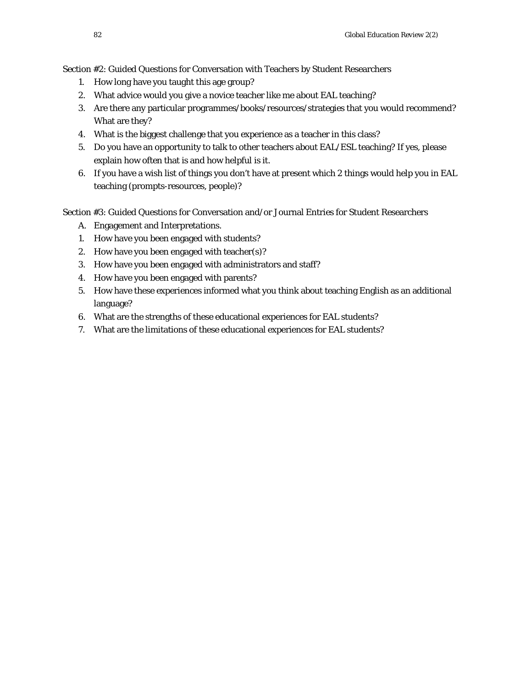Section #2: Guided Questions for Conversation with Teachers by Student Researchers

- 1. How long have you taught this age group?
- 2. What advice would you give a novice teacher like me about EAL teaching?
- 3. Are there any particular programmes/books/resources/strategies that you would recommend? What are they?
- 4. What is the biggest challenge that you experience as a teacher in this class?
- 5. Do you have an opportunity to talk to other teachers about EAL/ESL teaching? If yes, please explain how often that is and how helpful is it.
- 6. If you have a wish list of things you don't have at present which 2 things would help you in EAL teaching (prompts-resources, people)?

Section #3: Guided Questions for Conversation and/or Journal Entries for Student Researchers

- A. Engagement and Interpretations.
- 1. How have you been engaged with students?
- 2. How have you been engaged with teacher(s)?
- 3. How have you been engaged with administrators and staff?
- 4. How have you been engaged with parents?
- 5. How have these experiences informed what you think about teaching English as an additional language?
- 6. What are the strengths of these educational experiences for EAL students?
- 7. What are the limitations of these educational experiences for EAL students?